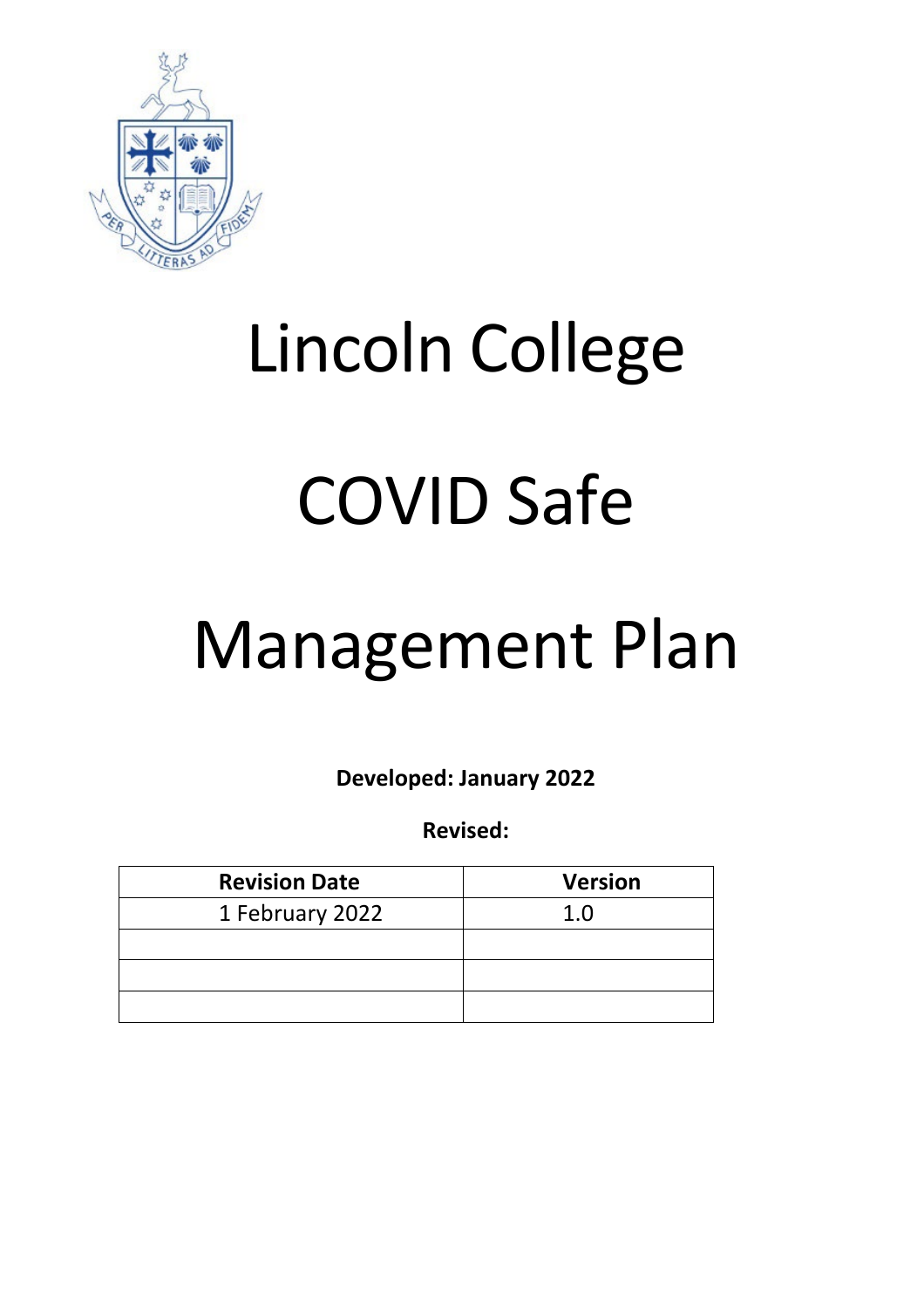

# Lincoln College

# COVID Safe

# Management Plan

**Developed: January 2022**

**Revised:**

| <b>Revision Date</b> | <b>Version</b> |
|----------------------|----------------|
| 1 February 2022      | 1.0            |
|                      |                |
|                      |                |
|                      |                |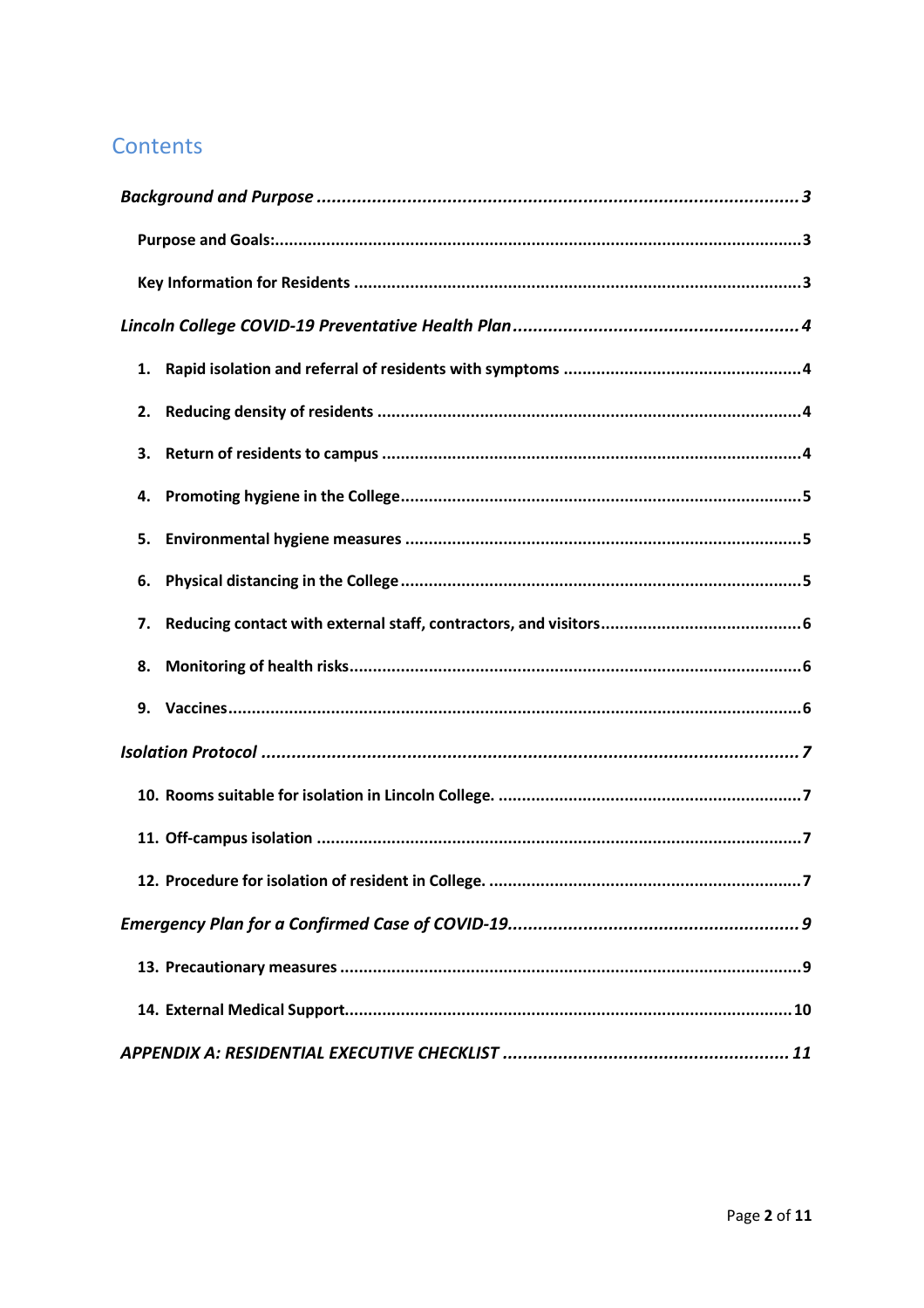# Contents

| 1.  |
|-----|
| 2.  |
| 3.  |
| 4.  |
| 5.  |
| 6.  |
| 7.  |
| 8.  |
| 9.  |
|     |
|     |
|     |
| . 7 |
|     |
|     |
|     |
|     |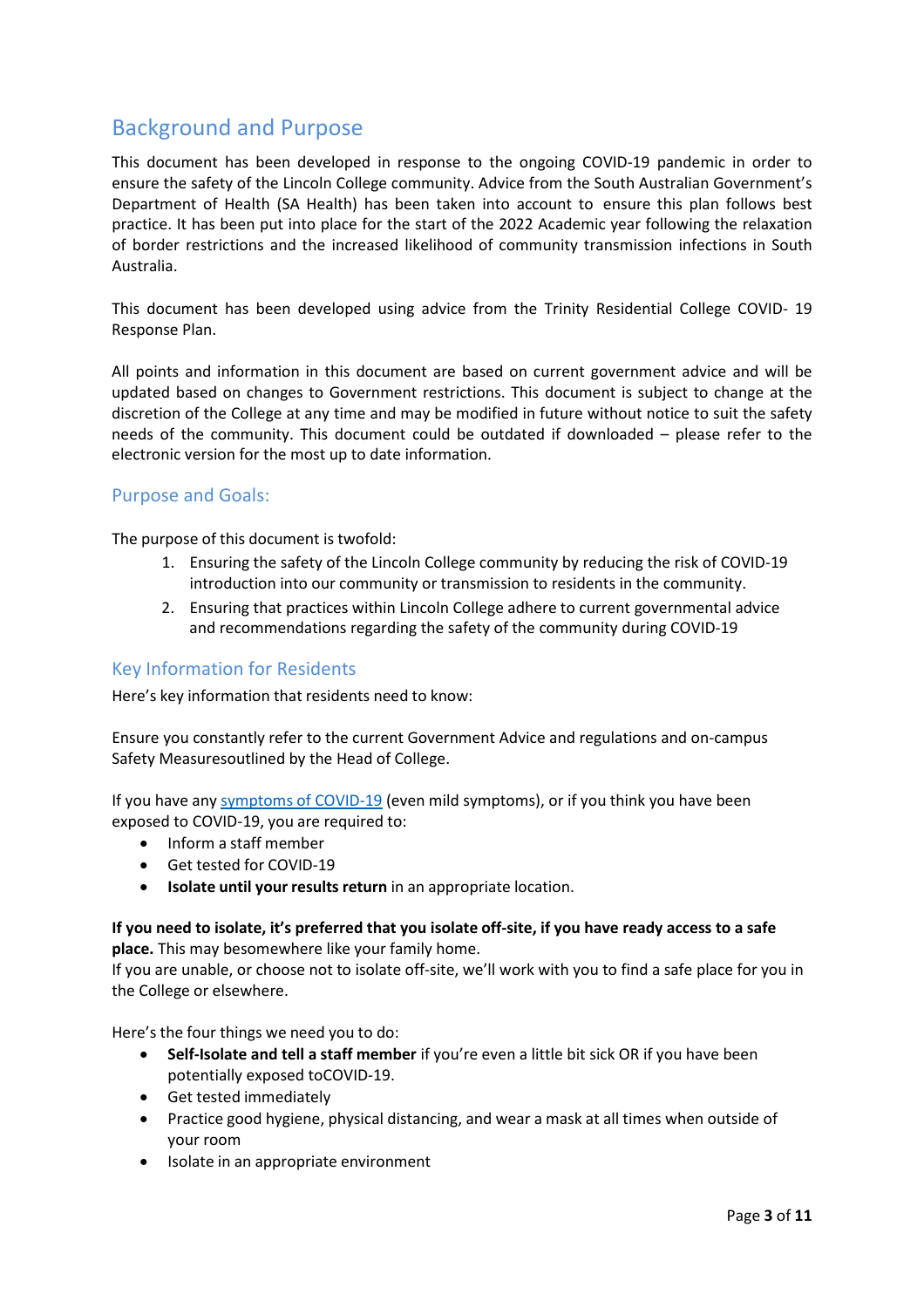# <span id="page-2-0"></span>Background and Purpose

This document has been developed in response to the ongoing COVID-19 pandemic in order to ensure the safety of the Lincoln College community. Advice from the South Australian Government's Department of Health (SA Health) has been taken into account to ensure this plan follows best practice. It has been put into place for the start of the 2022 Academic year following the relaxation of border restrictions and the increased likelihood of community transmission infections in South Australia.

This document has been developed using advice from the Trinity Residential College COVID- 19 Response Plan.

All points and information in this document are based on current government advice and will be updated based on changes to Government restrictions. This document is subject to change at the discretion of the College at any time and may be modified in future without notice to suit the safety needs of the community. This document could be outdated if downloaded – please refer to the electronic version for the most up to date information.

## <span id="page-2-1"></span>Purpose and Goals:

The purpose of this document is twofold:

- 1. Ensuring the safety of the Lincoln College community by reducing the risk of COVID-19 introduction into our community or transmission to residents in the community.
- 2. Ensuring that practices within Lincoln College adhere to current governmental advice and recommendations regarding the safety of the community during COVID-19

## <span id="page-2-2"></span>Key Information for Residents

Here's key information that residents need to know:

Ensure you constantly refer to the current Government Advice and regulations and on-campus Safety Measuresoutlined by the Head of College.

If you have any symptoms of COVID-19 (even mild symptoms), or if you think you have been exposed to COVID-19, you are required to:

- Inform a staff member
- Get tested for COVID-19
- **Isolate until your results return** in an appropriate location.

#### **If you need to isolate, it's preferred that you isolate off-site, if you have ready access to a safe place.** This may besomewhere like your family home.

If you are unable, or choose not to isolate off-site, we'll work with you to find a safe place for you in the College or elsewhere.

Here's the four things we need you to do:

- **Self-Isolate and tell a staff member** if you're even a little bit sick OR if you have been potentially exposed toCOVID-19.
- Get tested immediately
- Practice good hygiene, physical distancing, and wear a mask at all times when outside of your room
- Isolate in an appropriate environment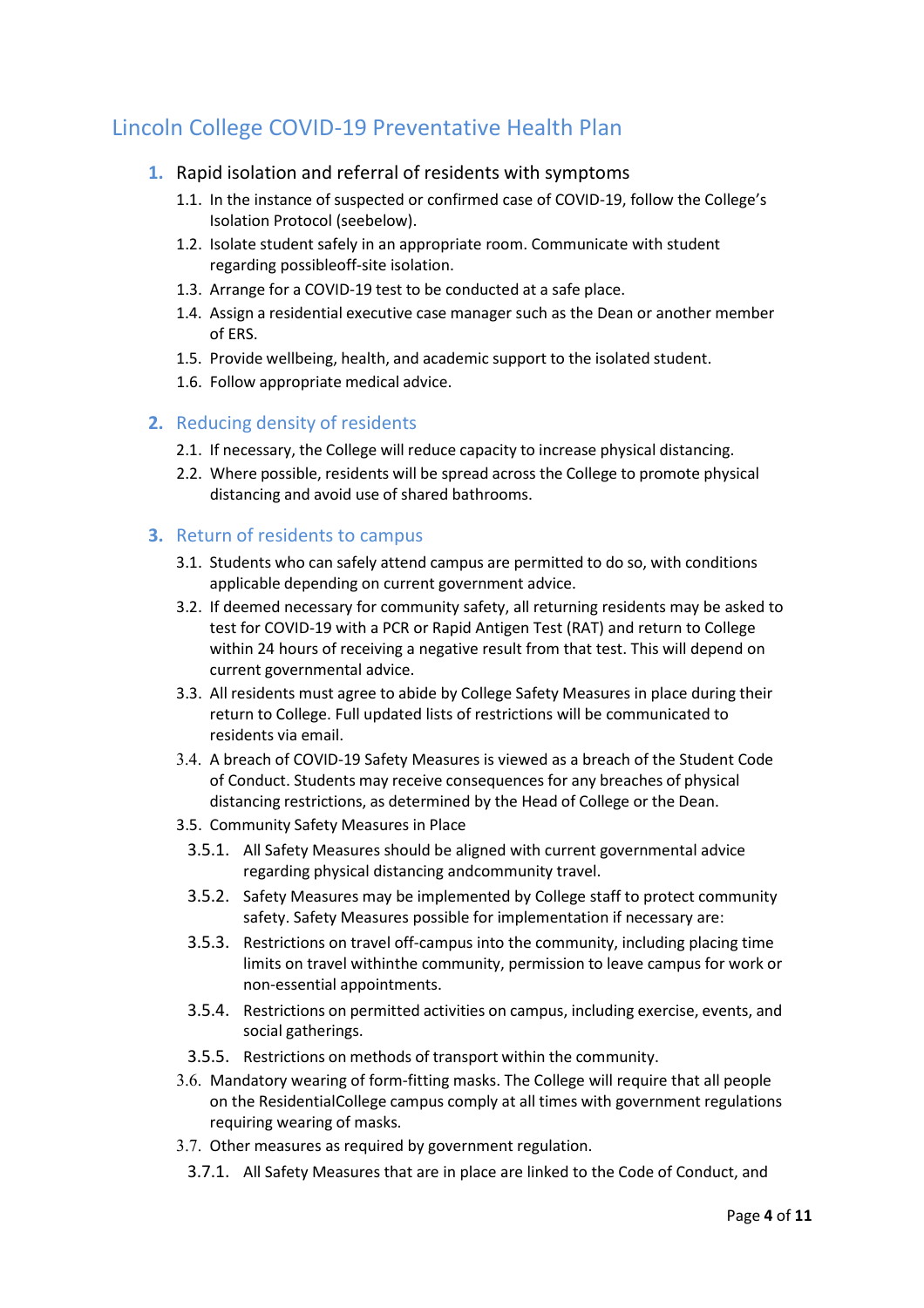# <span id="page-3-1"></span><span id="page-3-0"></span>Lincoln College COVID-19 Preventative Health Plan

## **1.** Rapid isolation and referral of residents with symptoms

- 1.1. In the instance of suspected or confirmed case of COVID-19, follow the College's Isolation Protocol (seebelow).
- 1.2. Isolate student safely in an appropriate room. Communicate with student regarding possibleoff-site isolation.
- 1.3. Arrange for a COVID-19 test to be conducted at a safe place.
- 1.4. Assign a residential executive case manager such as the Dean or another member of ERS.
- 1.5. Provide wellbeing, health, and academic support to the isolated student.
- 1.6. Follow appropriate medical advice.

## <span id="page-3-2"></span>**2.** Reducing density of residents

- 2.1. If necessary, the College will reduce capacity to increase physical distancing.
- 2.2. Where possible, residents will be spread across the College to promote physical distancing and avoid use of shared bathrooms.

## <span id="page-3-3"></span>**3.** Return of residents to campus

- 3.1. Students who can safely attend campus are permitted to do so, with conditions applicable depending on current government advice.
- 3.2. If deemed necessary for community safety, all returning residents may be asked to test for COVID-19 with a PCR or Rapid Antigen Test (RAT) and return to College within 24 hours of receiving a negative result from that test. This will depend on current governmental advice.
- 3.3. All residents must agree to abide by College Safety Measures in place during their return to College. Full updated lists of restrictions will be communicated to residents via email.
- 3.4. A breach of COVID-19 Safety Measures is viewed as a breach of the Student Code of Conduct. Students may receive consequences for any breaches of physical distancing restrictions, as determined by the Head of College or the Dean.
- 3.5. Community Safety Measures in Place
	- 3.5.1. All Safety Measures should be aligned with current governmental advice regarding physical distancing andcommunity travel.
	- 3.5.2. Safety Measures may be implemented by College staff to protect community safety. Safety Measures possible for implementation if necessary are:
	- 3.5.3. Restrictions on travel off-campus into the community, including placing time limits on travel withinthe community, permission to leave campus for work or non-essential appointments.
	- 3.5.4. Restrictions on permitted activities on campus, including exercise, events, and social gatherings.
	- 3.5.5. Restrictions on methods of transport within the community.
- 3.6. Mandatory wearing of form-fitting masks. The College will require that all people on the ResidentialCollege campus comply at all times with government regulations requiring wearing of masks.
- 3.7. Other measures as required by government regulation.
	- 3.7.1. All Safety Measures that are in place are linked to the Code of Conduct, and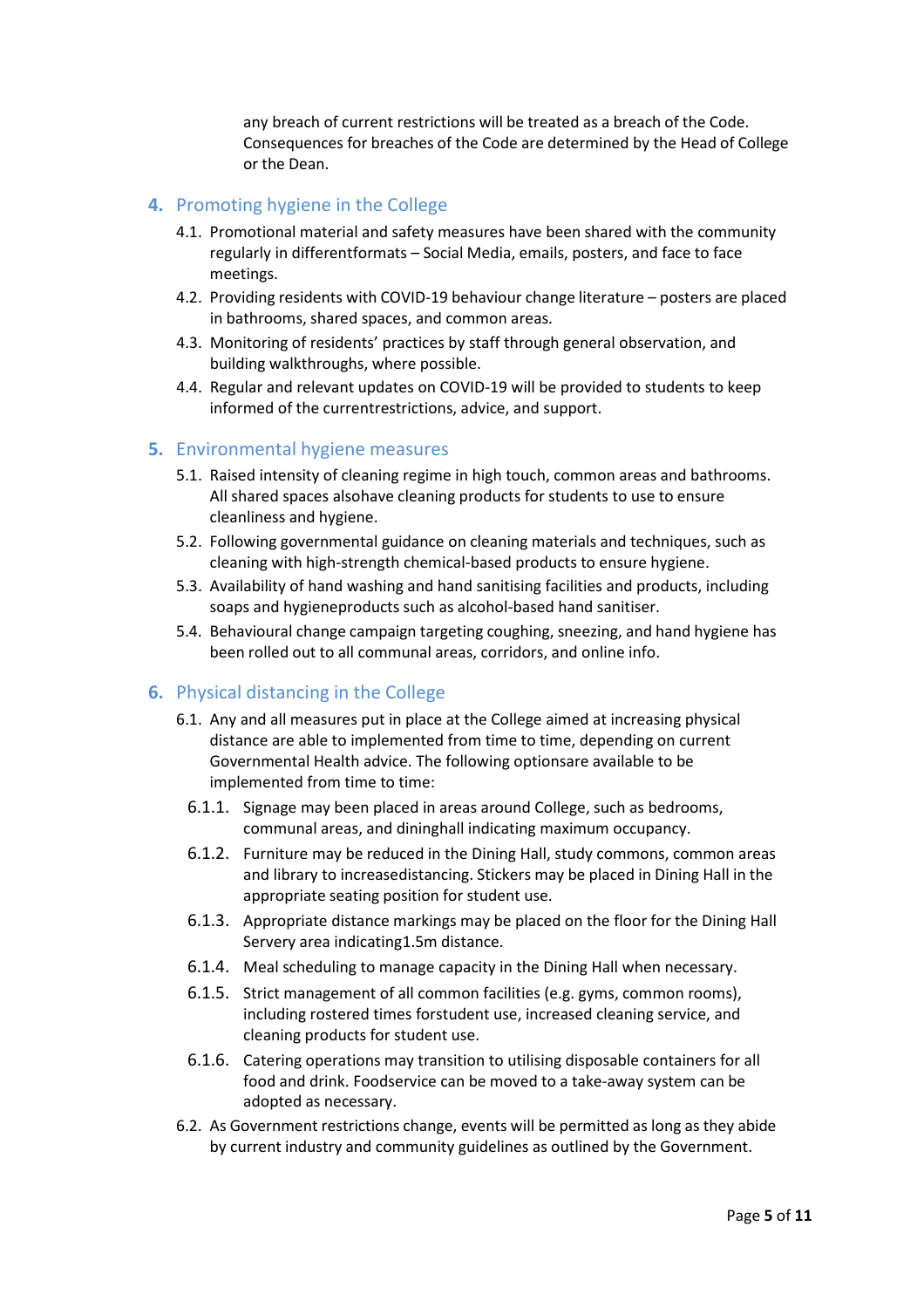any breach of current restrictions will be treated as a breach of the Code. Consequences for breaches of the Code are determined by the Head of College or the Dean.

## <span id="page-4-0"></span>**4.** Promoting hygiene in the College

- 4.1. Promotional material and safety measures have been shared with the community regularly in differentformats – Social Media, emails, posters, and face to face meetings.
- 4.2. Providing residents with COVID-19 behaviour change literature posters are placed in bathrooms, shared spaces, and common areas.
- 4.3. Monitoring of residents' practices by staff through general observation, and building walkthroughs, where possible.
- 4.4. Regular and relevant updates on COVID-19 will be provided to students to keep informed of the currentrestrictions, advice, and support.

### <span id="page-4-1"></span>**5.** Environmental hygiene measures

- 5.1. Raised intensity of cleaning regime in high touch, common areas and bathrooms. All shared spaces alsohave cleaning products for students to use to ensure cleanliness and hygiene.
- 5.2. Following governmental guidance on cleaning materials and techniques, such as cleaning with high-strength chemical-based products to ensure hygiene.
- 5.3. Availability of hand washing and hand sanitising facilities and products, including soaps and hygieneproducts such as alcohol-based hand sanitiser.
- 5.4. Behavioural change campaign targeting coughing, sneezing, and hand hygiene has been rolled out to all communal areas, corridors, and online info.

## <span id="page-4-2"></span>**6.** Physical distancing in the College

- 6.1. Any and all measures put in place at the College aimed at increasing physical distance are able to implemented from time to time, depending on current Governmental Health advice. The following optionsare available to be implemented from time to time:
	- 6.1.1. Signage may been placed in areas around College, such as bedrooms, communal areas, and dininghall indicating maximum occupancy.
	- 6.1.2. Furniture may be reduced in the Dining Hall, study commons, common areas and library to increasedistancing. Stickers may be placed in Dining Hall in the appropriate seating position for student use.
	- 6.1.3. Appropriate distance markings may be placed on the floor for the Dining Hall Servery area indicating1.5m distance.
	- 6.1.4. Meal scheduling to manage capacity in the Dining Hall when necessary.
	- 6.1.5. Strict management of all common facilities (e.g. gyms, common rooms), including rostered times forstudent use, increased cleaning service, and cleaning products for student use.
	- 6.1.6. Catering operations may transition to utilising disposable containers for all food and drink. Foodservice can be moved to a take-away system can be adopted as necessary.
- 6.2. As Government restrictions change, events will be permitted as long as they abide by current industry and community guidelines as outlined by the Government.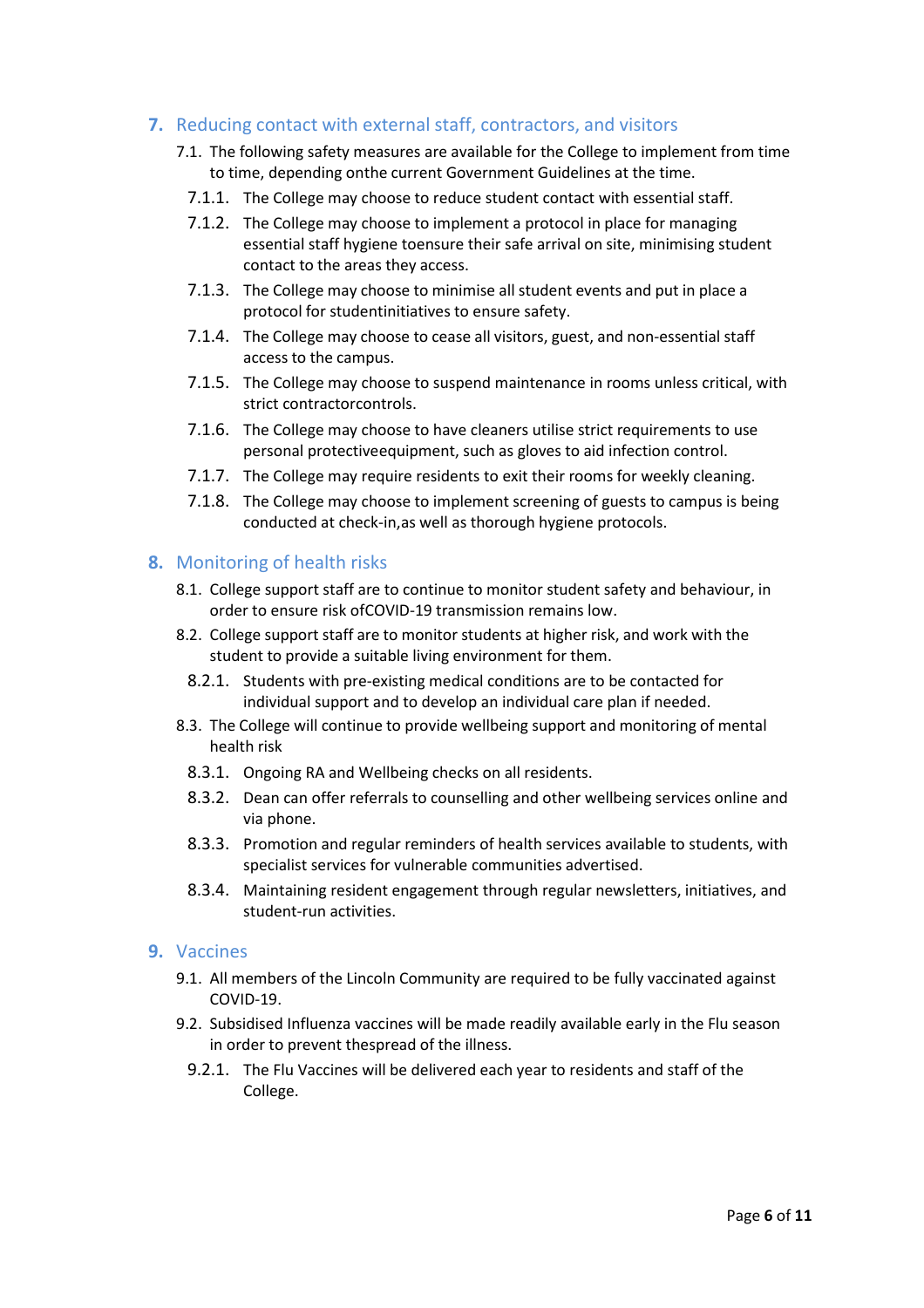## <span id="page-5-0"></span>**7.** Reducing contact with external staff, contractors, and visitors

- 7.1. The following safety measures are available for the College to implement from time to time, depending onthe current Government Guidelines at the time.
	- 7.1.1. The College may choose to reduce student contact with essential staff.
	- 7.1.2. The College may choose to implement a protocol in place for managing essential staff hygiene toensure their safe arrival on site, minimising student contact to the areas they access.
	- 7.1.3. The College may choose to minimise all student events and put in place a protocol for studentinitiatives to ensure safety.
	- 7.1.4. The College may choose to cease all visitors, guest, and non-essential staff access to the campus.
	- 7.1.5. The College may choose to suspend maintenance in rooms unless critical, with strict contractorcontrols.
	- 7.1.6. The College may choose to have cleaners utilise strict requirements to use personal protectiveequipment, such as gloves to aid infection control.
	- 7.1.7. The College may require residents to exit their rooms for weekly cleaning.
	- 7.1.8. The College may choose to implement screening of guests to campus is being conducted at check-in,as well as thorough hygiene protocols.

## <span id="page-5-1"></span>**8.** Monitoring of health risks

- 8.1. College support staff are to continue to monitor student safety and behaviour, in order to ensure risk ofCOVID-19 transmission remains low.
- 8.2. College support staff are to monitor students at higher risk, and work with the student to provide a suitable living environment for them.
	- 8.2.1. Students with pre-existing medical conditions are to be contacted for individual support and to develop an individual care plan if needed.
- 8.3. The College will continue to provide wellbeing support and monitoring of mental health risk
	- 8.3.1. Ongoing RA and Wellbeing checks on all residents.
	- 8.3.2. Dean can offer referrals to counselling and other wellbeing services online and via phone.
	- 8.3.3. Promotion and regular reminders of health services available to students, with specialist services for vulnerable communities advertised.
	- 8.3.4. Maintaining resident engagement through regular newsletters, initiatives, and student-run activities.

## <span id="page-5-2"></span>**9.** Vaccines

- 9.1. All members of the Lincoln Community are required to be fully vaccinated against COVID-19.
- 9.2. Subsidised Influenza vaccines will be made readily available early in the Flu season in order to prevent thespread of the illness.
	- 9.2.1. The Flu Vaccines will be delivered each year to residents and staff of the College.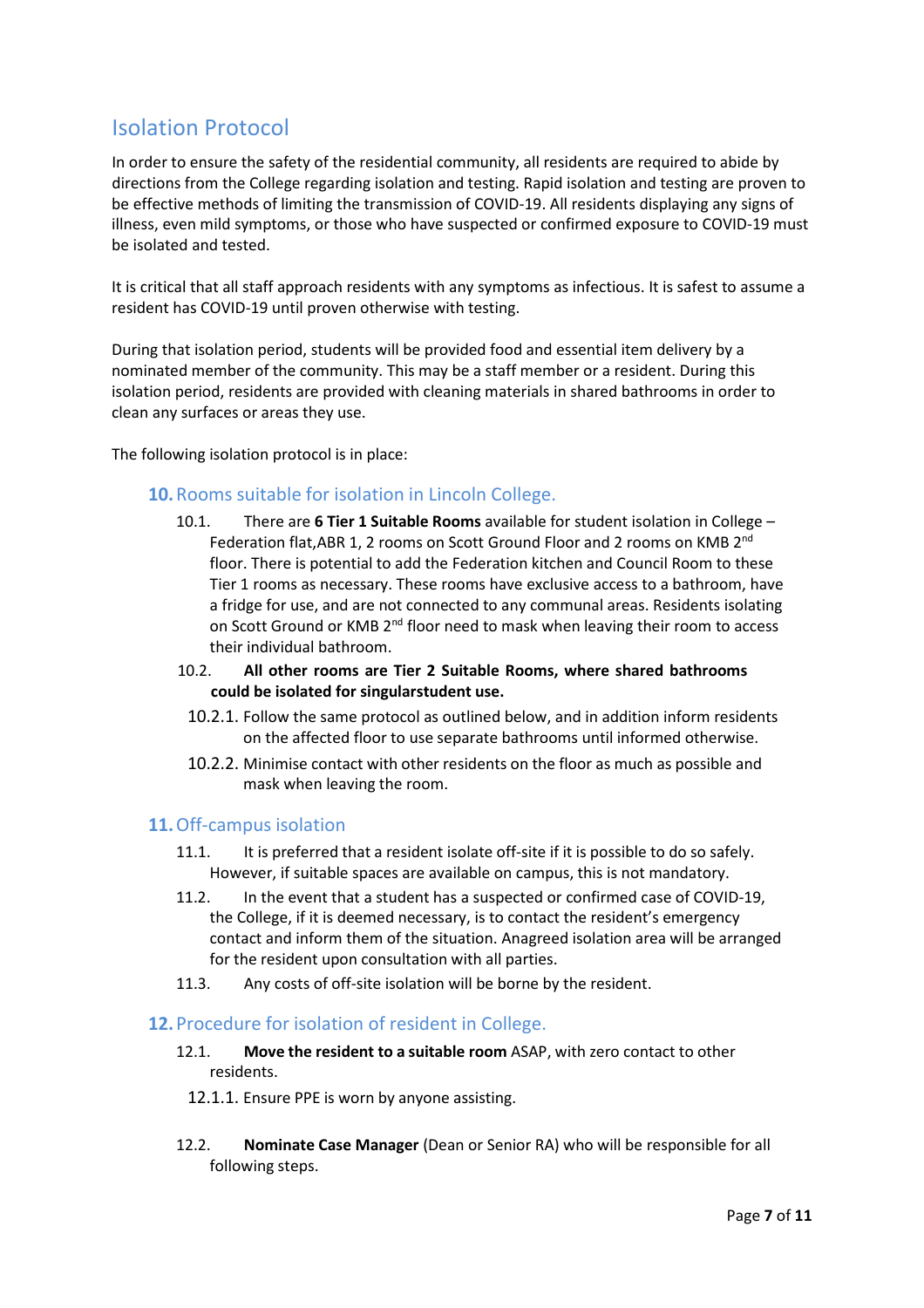# <span id="page-6-0"></span>Isolation Protocol

In order to ensure the safety of the residential community, all residents are required to abide by directions from the College regarding isolation and testing. Rapid isolation and testing are proven to be effective methods of limiting the transmission of COVID-19. All residents displaying any signs of illness, even mild symptoms, or those who have suspected or confirmed exposure to COVID-19 must be isolated and tested.

It is critical that all staff approach residents with any symptoms as infectious. It is safest to assume a resident has COVID-19 until proven otherwise with testing.

During that isolation period, students will be provided food and essential item delivery by a nominated member of the community. This may be a staff member or a resident. During this isolation period, residents are provided with cleaning materials in shared bathrooms in order to clean any surfaces or areas they use.

<span id="page-6-1"></span>The following isolation protocol is in place:

## **10.**Rooms suitable for isolation in Lincoln College.

- 10.1. There are **6 Tier 1 Suitable Rooms** available for student isolation in College Federation flat, ABR 1, 2 rooms on Scott Ground Floor and 2 rooms on KMB 2<sup>nd</sup> floor. There is potential to add the Federation kitchen and Council Room to these Tier 1 rooms as necessary. These rooms have exclusive access to a bathroom, have a fridge for use, and are not connected to any communal areas. Residents isolating on Scott Ground or KMB 2<sup>nd</sup> floor need to mask when leaving their room to access their individual bathroom.
- 10.2. **All other rooms are Tier 2 Suitable Rooms, where shared bathrooms could be isolated for singularstudent use.**
- 10.2.1. Follow the same protocol as outlined below, and in addition inform residents on the affected floor to use separate bathrooms until informed otherwise.
- 10.2.2. Minimise contact with other residents on the floor as much as possible and mask when leaving the room.

## <span id="page-6-2"></span>**11.**Off-campus isolation

- 11.1. It is preferred that a resident isolate off-site if it is possible to do so safely. However, if suitable spaces are available on campus, this is not mandatory.
- 11.2. In the event that a student has a suspected or confirmed case of COVID-19, the College, if it is deemed necessary, is to contact the resident's emergency contact and inform them of the situation. Anagreed isolation area will be arranged for the resident upon consultation with all parties.
- 11.3. Any costs of off-site isolation will be borne by the resident.

## <span id="page-6-3"></span>**12.**Procedure for isolation of resident in College.

- 12.1. **Move the resident to a suitable room** ASAP, with zero contact to other residents.
	- 12.1.1. Ensure PPE is worn by anyone assisting.
- 12.2. **Nominate Case Manager** (Dean or Senior RA) who will be responsible for all following steps.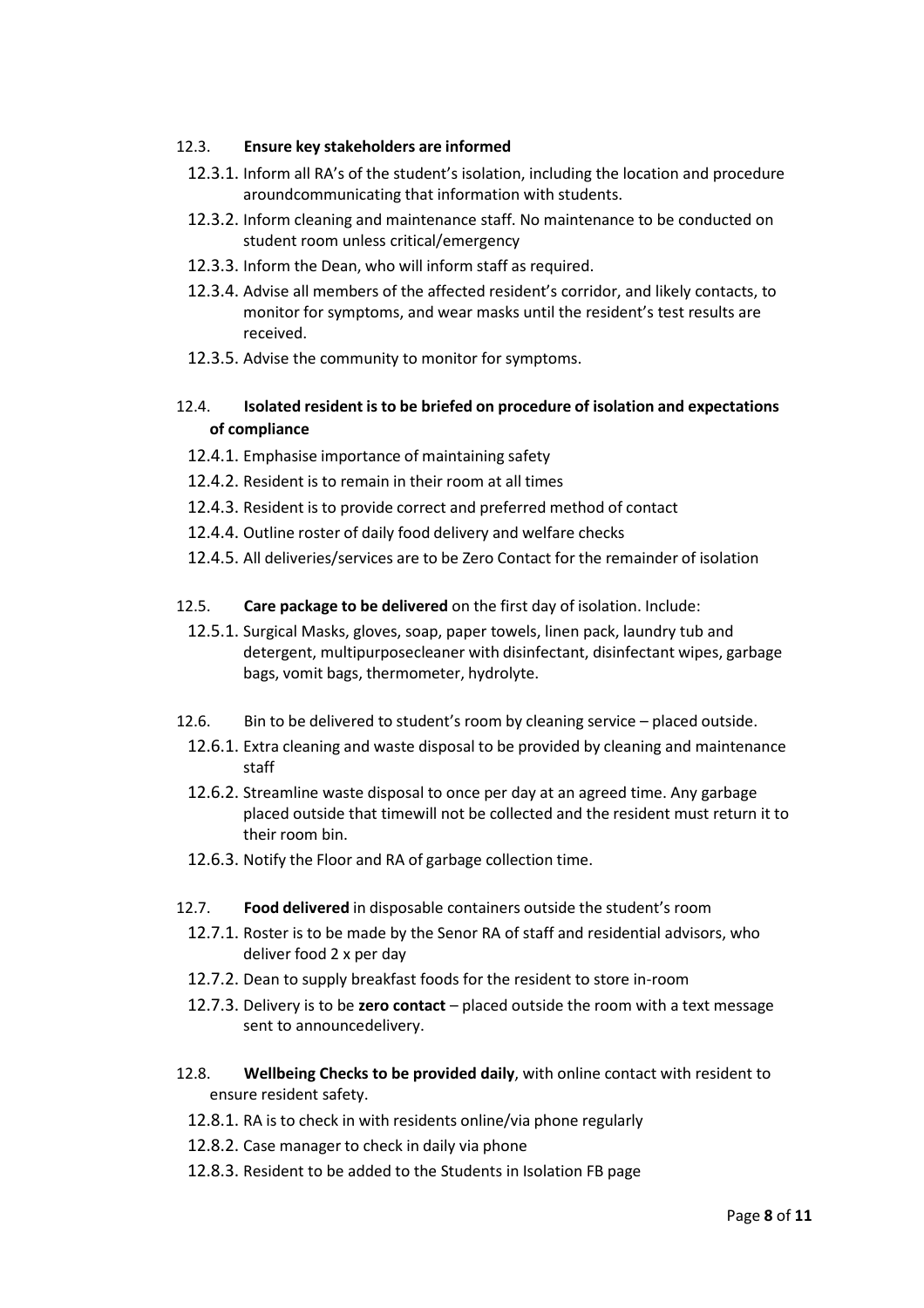### 12.3. **Ensure key stakeholders are informed**

- 12.3.1. Inform all RA's of the student's isolation, including the location and procedure aroundcommunicating that information with students.
- 12.3.2. Inform cleaning and maintenance staff. No maintenance to be conducted on student room unless critical/emergency
- 12.3.3. Inform the Dean, who will inform staff as required.
- 12.3.4. Advise all members of the affected resident's corridor, and likely contacts, to monitor for symptoms, and wear masks until the resident's test results are received.
- 12.3.5. Advise the community to monitor for symptoms.

## 12.4. **Isolated resident is to be briefed on procedure of isolation and expectations of compliance**

- 12.4.1. Emphasise importance of maintaining safety
- 12.4.2. Resident is to remain in their room at all times
- 12.4.3. Resident is to provide correct and preferred method of contact
- 12.4.4. Outline roster of daily food delivery and welfare checks
- 12.4.5. All deliveries/services are to be Zero Contact for the remainder of isolation
- 12.5. **Care package to be delivered** on the first day of isolation. Include:
	- 12.5.1. Surgical Masks, gloves, soap, paper towels, linen pack, laundry tub and detergent, multipurposecleaner with disinfectant, disinfectant wipes, garbage bags, vomit bags, thermometer, hydrolyte.
- 12.6. Bin to be delivered to student's room by cleaning service placed outside.
- 12.6.1. Extra cleaning and waste disposal to be provided by cleaning and maintenance staff
- 12.6.2. Streamline waste disposal to once per day at an agreed time. Any garbage placed outside that timewill not be collected and the resident must return it to their room bin.
- 12.6.3. Notify the Floor and RA of garbage collection time.
- 12.7. **Food delivered** in disposable containers outside the student's room
	- 12.7.1. Roster is to be made by the Senor RA of staff and residential advisors, who deliver food 2 x per day
	- 12.7.2. Dean to supply breakfast foods for the resident to store in-room
	- 12.7.3. Delivery is to be **zero contact** placed outside the room with a text message sent to announcedelivery.
- 12.8. **Wellbeing Checks to be provided daily**, with online contact with resident to ensure resident safety.
	- 12.8.1. RA is to check in with residents online/via phone regularly
	- 12.8.2. Case manager to check in daily via phone
	- 12.8.3. Resident to be added to the Students in Isolation FB page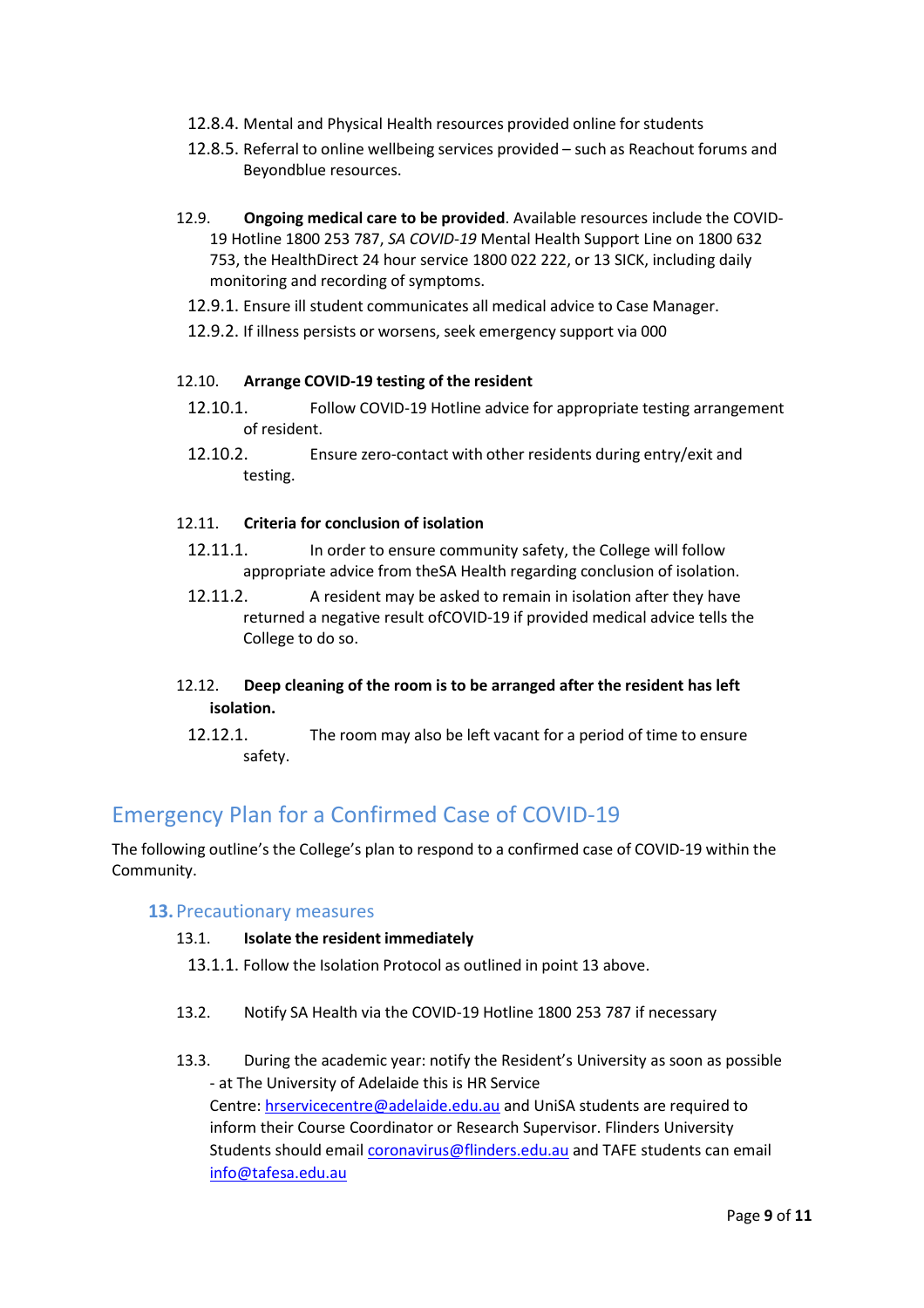- 12.8.4. Mental and Physical Health resources provided online for students
- 12.8.5. Referral to online wellbeing services provided such as Reachout forums and Beyondblue resources.
- 12.9. **Ongoing medical care to be provided**. Available resources include the COVID-19 Hotline 1800 253 787, *SA COVID*-*19* Mental Health Support Line on 1800 632 753, the HealthDirect 24 hour service 1800 022 222, or 13 SICK, including daily monitoring and recording of symptoms.
	- 12.9.1. Ensure ill student communicates all medical advice to Case Manager.
	- 12.9.2. If illness persists or worsens, seek emergency support via 000

#### 12.10. **Arrange COVID-19 testing of the resident**

- 12.10.1. Follow COVID-19 Hotline advice for appropriate testing arrangement of resident.
- 12.10.2. Ensure zero-contact with other residents during entry/exit and testing.

#### 12.11. **Criteria for conclusion of isolation**

- 12.11.1. In order to ensure community safety, the College will follow appropriate advice from theSA Health regarding conclusion of isolation.
- 12.11.2. A resident may be asked to remain in isolation after they have returned a negative result ofCOVID-19 if provided medical advice tells the College to do so.

## 12.12. **Deep cleaning of the room is to be arranged after the resident has left isolation.**

12.12.1. The room may also be left vacant for a period of time to ensure safety.

# <span id="page-8-0"></span>Emergency Plan for a Confirmed Case of COVID-19

<span id="page-8-1"></span>The following outline's the College's plan to respond to a confirmed case of COVID-19 within the Community.

#### **13.**Precautionary measures

#### 13.1. **Isolate the resident immediately**

- 13.1.1. Follow the Isolation Protocol as outlined in point 13 above.
- 13.2. Notify SA Health via the COVID-19 Hotline 1800 253 787 if necessary
- 13.3. During the academic year: notify the Resident's University as soon as possible - at The University of Adelaide this is HR Service Centre: [hrservicecentre@adelaide.edu.au](mailto:hrservicecentre@adelaide.edu.au) and UniSA students are required to inform their Course Coordinator or Research Supervisor. Flinders University Students should emai[l coronavirus@flinders.edu.au](mailto:coronavirus@flinders.edu.au) and TAFE students can email [info@tafesa.edu.au](mailto:info@tafesa.edu.au)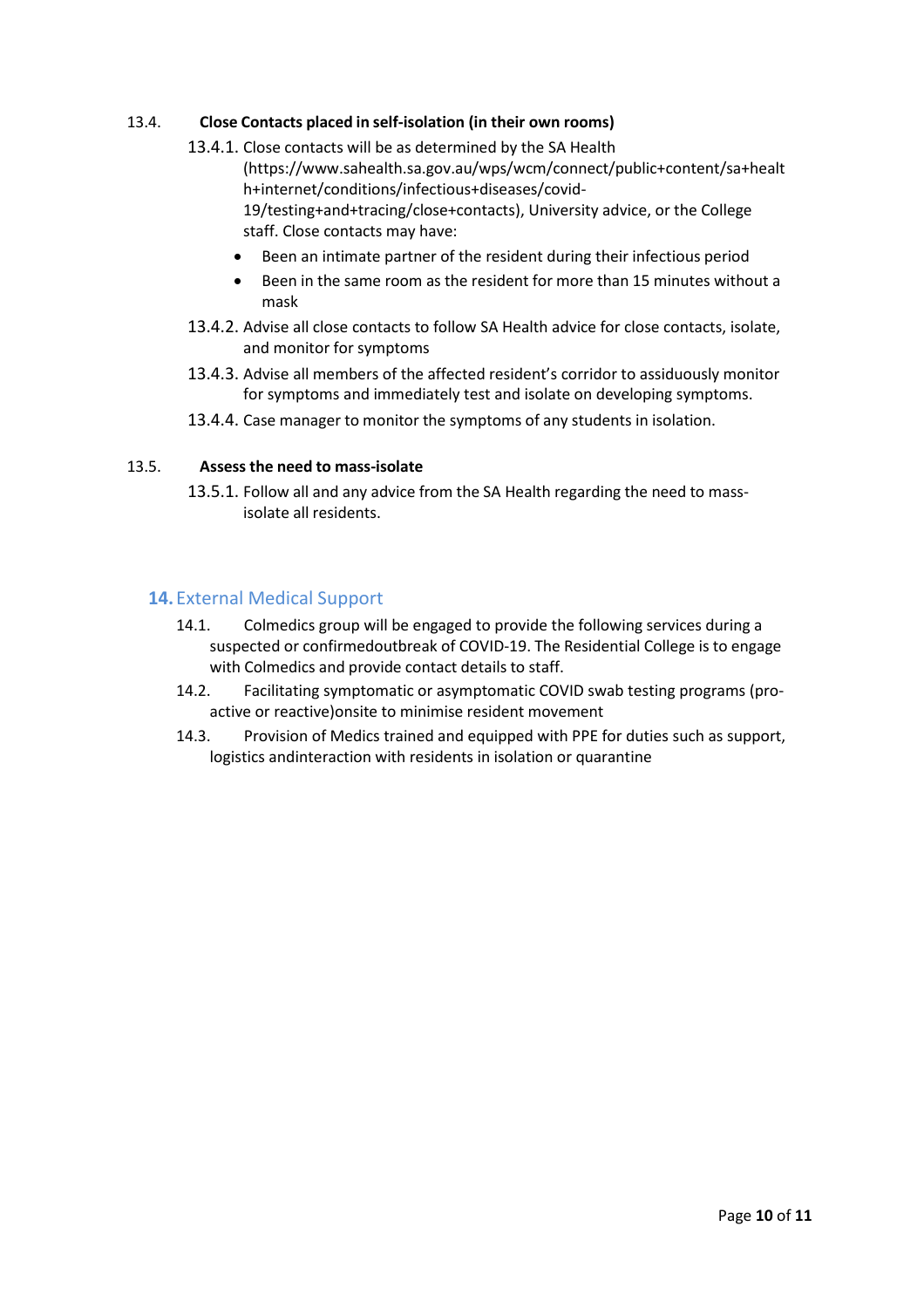### 13.4. **Close Contacts placed in self-isolation (in their own rooms)**

- 13.4.1. Close contacts will be as determined by the SA Health (https://www.sahealth.sa.gov.au/wps/wcm/connect/public+content/sa+healt h+internet/conditions/infectious+diseases/covid-19/testing+and+tracing/close+contacts), University advice, or the College staff. Close contacts may have:
	- Been an intimate partner of the resident during their infectious period
	- Been in the same room as the resident for more than 15 minutes without a mask
- 13.4.2. Advise all close contacts to follow SA Health advice for close contacts, isolate, and monitor for symptoms
- 13.4.3. Advise all members of the affected resident's corridor to assiduously monitor for symptoms and immediately test and isolate on developing symptoms.
- 13.4.4. Case manager to monitor the symptoms of any students in isolation.

#### 13.5. **Assess the need to mass-isolate**

13.5.1. Follow all and any advice from the SA Health regarding the need to massisolate all residents.

## <span id="page-9-0"></span>**14.** External Medical Support

- 14.1. Colmedics group will be engaged to provide the following services during a suspected or confirmedoutbreak of COVID-19. The Residential College is to engage with Colmedics and provide contact details to staff.
- 14.2. Facilitating symptomatic or asymptomatic COVID swab testing programs (proactive or reactive)onsite to minimise resident movement
- 14.3. Provision of Medics trained and equipped with PPE for duties such as support, logistics andinteraction with residents in isolation or quarantine